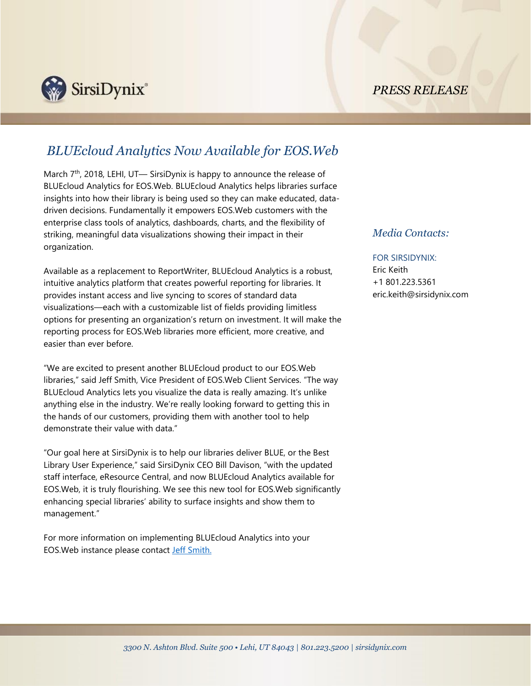*PRESS RELEASE*



## *BLUEcloud Analytics Now Available for EOS.Web*

March 7<sup>th</sup>, 2018, LEHI, UT— SirsiDynix is happy to announce the release of BLUEcloud Analytics for EOS.Web. BLUEcloud Analytics helps libraries surface insights into how their library is being used so they can make educated, datadriven decisions. Fundamentally it empowers EOS.Web customers with the enterprise class tools of analytics, dashboards, charts, and the flexibility of striking, meaningful data visualizations showing their impact in their organization.

Available as a replacement to ReportWriter, BLUEcloud Analytics is a robust, intuitive analytics platform that creates powerful reporting for libraries. It provides instant access and live syncing to scores of standard data visualizations—each with a customizable list of fields providing limitless options for presenting an organization's return on investment. It will make the reporting process for EOS.Web libraries more efficient, more creative, and easier than ever before.

"We are excited to present another BLUEcloud product to our EOS.Web libraries," said Jeff Smith, Vice President of EOS.Web Client Services. "The way BLUEcloud Analytics lets you visualize the data is really amazing. It's unlike anything else in the industry. We're really looking forward to getting this in the hands of our customers, providing them with another tool to help demonstrate their value with data."

"Our goal here at SirsiDynix is to help our libraries deliver BLUE, or the Best Library User Experience," said SirsiDynix CEO Bill Davison, "with the updated staff interface, eResource Central, and now BLUEcloud Analytics available for EOS.Web, it is truly flourishing. We see this new tool for EOS.Web significantly enhancing special libraries' ability to surface insights and show them to management."

For more information on implementing BLUEcloud Analytics into your EOS.Web instance please contact [Jeff Smith.](mailto:jeff.smith@sirsidynix.com)

## *Media Contacts:*

## FOR SIRSIDYNIX:

Eric Keith +1 801.223.5361 eric.keith@sirsidynix.com